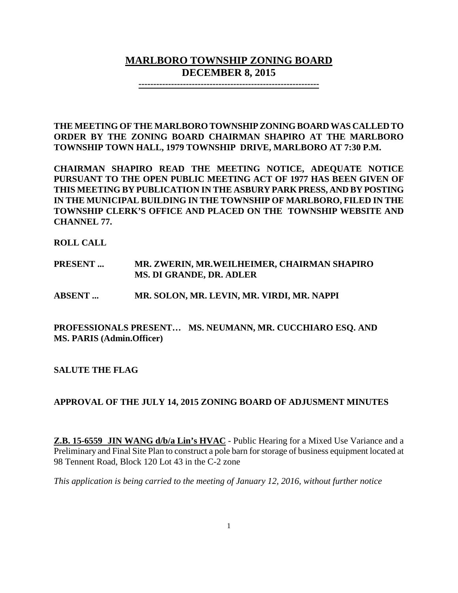# **MARLBORO TOWNSHIP ZONING BOARD DECEMBER 8, 2015**

**-------------------------------------------------------------**

**THE MEETING OF THE MARLBORO TOWNSHIP ZONING BOARD WAS CALLED TO ORDER BY THE ZONING BOARD CHAIRMAN SHAPIRO AT THE MARLBORO TOWNSHIP TOWN HALL, 1979 TOWNSHIP DRIVE, MARLBORO AT 7:30 P.M.**

**CHAIRMAN SHAPIRO READ THE MEETING NOTICE, ADEQUATE NOTICE PURSUANT TO THE OPEN PUBLIC MEETING ACT OF 1977 HAS BEEN GIVEN OF THIS MEETING BY PUBLICATION IN THE ASBURY PARK PRESS, AND BY POSTING IN THE MUNICIPAL BUILDING IN THE TOWNSHIP OF MARLBORO, FILED IN THE TOWNSHIP CLERK'S OFFICE AND PLACED ON THE TOWNSHIP WEBSITE AND CHANNEL 77.**

**ROLL CALL**

**PRESENT ... MR. ZWERIN, MR.WEILHEIMER, CHAIRMAN SHAPIRO MS. DI GRANDE, DR. ADLER**

**ABSENT ... MR. SOLON, MR. LEVIN, MR. VIRDI, MR. NAPPI** 

**PROFESSIONALS PRESENT… MS. NEUMANN, MR. CUCCHIARO ESQ. AND MS. PARIS (Admin.Officer)**

**SALUTE THE FLAG**

## **APPROVAL OF THE JULY 14, 2015 ZONING BOARD OF ADJUSMENT MINUTES**

**Z.B. 15-6559 JIN WANG d/b/a Lin's HVAC** - Public Hearing for a Mixed Use Variance and a Preliminary and Final Site Plan to construct a pole barn for storage of business equipment located at 98 Tennent Road, Block 120 Lot 43 in the C-2 zone

*This application is being carried to the meeting of January 12, 2016, without further notice*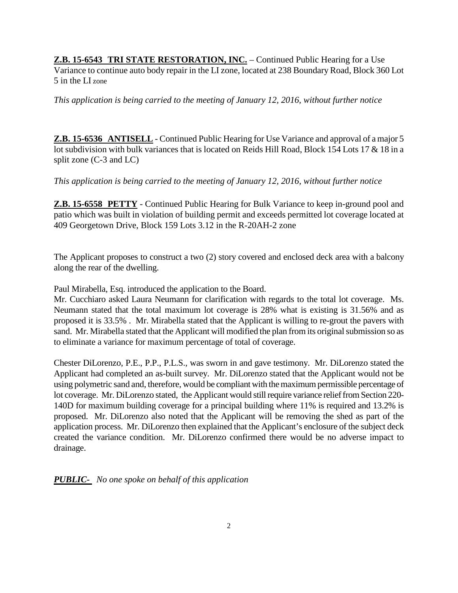**Z.B. 15-6543 TRI STATE RESTORATION, INC.** – Continued Public Hearing for a Use Variance to continue auto body repair in the LI zone, located at 238 Boundary Road, Block 360 Lot 5 in the LI zone

*This application is being carried to the meeting of January 12, 2016, without further notice* 

**Z.B. 15-6536 ANTISELL** - Continued Public Hearing for Use Variance and approval of a major 5 lot subdivision with bulk variances that is located on Reids Hill Road, Block 154 Lots 17 & 18 in a split zone (C-3 and LC)

*This application is being carried to the meeting of January 12, 2016, without further notice* 

**Z.B. 15-6558 PETTY** - Continued Public Hearing for Bulk Variance to keep in-ground pool and patio which was built in violation of building permit and exceeds permitted lot coverage located at 409 Georgetown Drive, Block 159 Lots 3.12 in the R-20AH-2 zone

The Applicant proposes to construct a two (2) story covered and enclosed deck area with a balcony along the rear of the dwelling.

Paul Mirabella, Esq. introduced the application to the Board.

Mr. Cucchiaro asked Laura Neumann for clarification with regards to the total lot coverage. Ms. Neumann stated that the total maximum lot coverage is 28% what is existing is 31.56% and as proposed it is 33.5% . Mr. Mirabella stated that the Applicant is willing to re-grout the pavers with sand. Mr. Mirabella stated that the Applicant will modified the plan from its original submission so as to eliminate a variance for maximum percentage of total of coverage.

Chester DiLorenzo, P.E., P.P., P.L.S., was sworn in and gave testimony. Mr. DiLorenzo stated the Applicant had completed an as-built survey. Mr. DiLorenzo stated that the Applicant would not be using polymetric sand and, therefore, would be compliant with the maximum permissible percentage of lot coverage. Mr. DiLorenzo stated, the Applicant would still require variance relief from Section 220- 140D for maximum building coverage for a principal building where 11% is required and 13.2% is proposed. Mr. DiLorenzo also noted that the Applicant will be removing the shed as part of the application process. Mr. DiLorenzo then explained that the Applicant's enclosure of the subject deck created the variance condition. Mr. DiLorenzo confirmed there would be no adverse impact to drainage.

*PUBLIC- No one spoke on behalf of this application*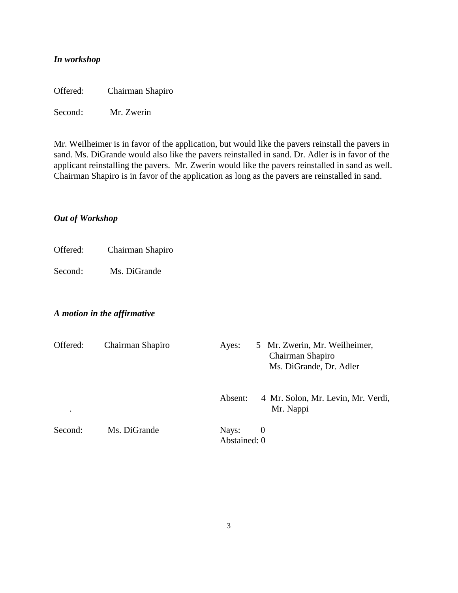## *In workshop*

Offered: Chairman Shapiro

Second: Mr. Zwerin

Mr. Weilheimer is in favor of the application, but would like the pavers reinstall the pavers in sand. Ms. DiGrande would also like the pavers reinstalled in sand. Dr. Adler is in favor of the applicant reinstalling the pavers. Mr. Zwerin would like the pavers reinstalled in sand as well. Chairman Shapiro is in favor of the application as long as the pavers are reinstalled in sand.

#### *Out of Workshop*

Offered: Chairman Shapiro

Second: Ms. DiGrande

#### *A motion in the affirmative*

| Offered:<br>٠ | Chairman Shapiro | 5 Mr. Zwerin, Mr. Weilheimer,<br>Ayes:<br>Chairman Shapiro<br>Ms. DiGrande, Dr. Adler |  |  |
|---------------|------------------|---------------------------------------------------------------------------------------|--|--|
|               |                  | 4 Mr. Solon, Mr. Levin, Mr. Verdi,<br>Absent:<br>Mr. Nappi                            |  |  |
| Second:       | Ms. DiGrande     | Nays:<br>$\theta$<br>Abstained: 0                                                     |  |  |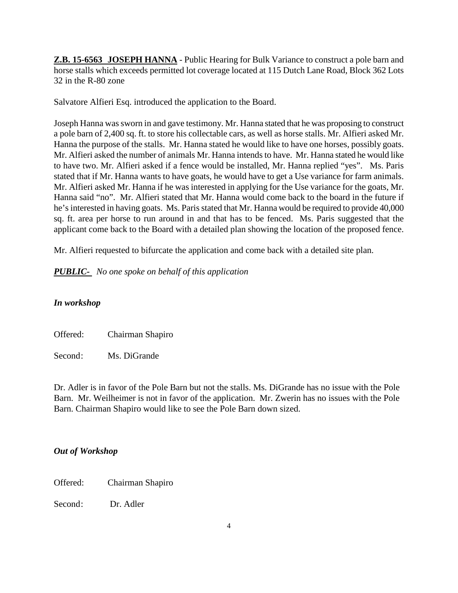**Z.B. 15-6563 JOSEPH HANNA** - Public Hearing for Bulk Variance to construct a pole barn and horse stalls which exceeds permitted lot coverage located at 115 Dutch Lane Road, Block 362 Lots 32 in the R-80 zone

Salvatore Alfieri Esq. introduced the application to the Board.

Joseph Hanna was sworn in and gave testimony. Mr. Hanna stated that he was proposing to construct a pole barn of 2,400 sq. ft. to store his collectable cars, as well as horse stalls. Mr. Alfieri asked Mr. Hanna the purpose of the stalls. Mr. Hanna stated he would like to have one horses, possibly goats. Mr. Alfieri asked the number of animals Mr. Hanna intends to have. Mr. Hanna stated he would like to have two. Mr. Alfieri asked if a fence would be installed, Mr. Hanna replied "yes". Ms. Paris stated that if Mr. Hanna wants to have goats, he would have to get a Use variance for farm animals. Mr. Alfieri asked Mr. Hanna if he was interested in applying for the Use variance for the goats, Mr. Hanna said "no". Mr. Alfieri stated that Mr. Hanna would come back to the board in the future if he's interested in having goats. Ms. Paris stated that Mr. Hanna would be required to provide 40,000 sq. ft. area per horse to run around in and that has to be fenced. Ms. Paris suggested that the applicant come back to the Board with a detailed plan showing the location of the proposed fence.

Mr. Alfieri requested to bifurcate the application and come back with a detailed site plan.

*PUBLIC- No one spoke on behalf of this application*

## *In workshop*

| Offered: | Chairman Shapiro |
|----------|------------------|
| Second:  | Ms. DiGrande     |

Dr. Adler is in favor of the Pole Barn but not the stalls. Ms. DiGrande has no issue with the Pole Barn. Mr. Weilheimer is not in favor of the application. Mr. Zwerin has no issues with the Pole Barn. Chairman Shapiro would like to see the Pole Barn down sized.

#### *Out of Workshop*

Offered: Chairman Shapiro

Second: Dr. Adler